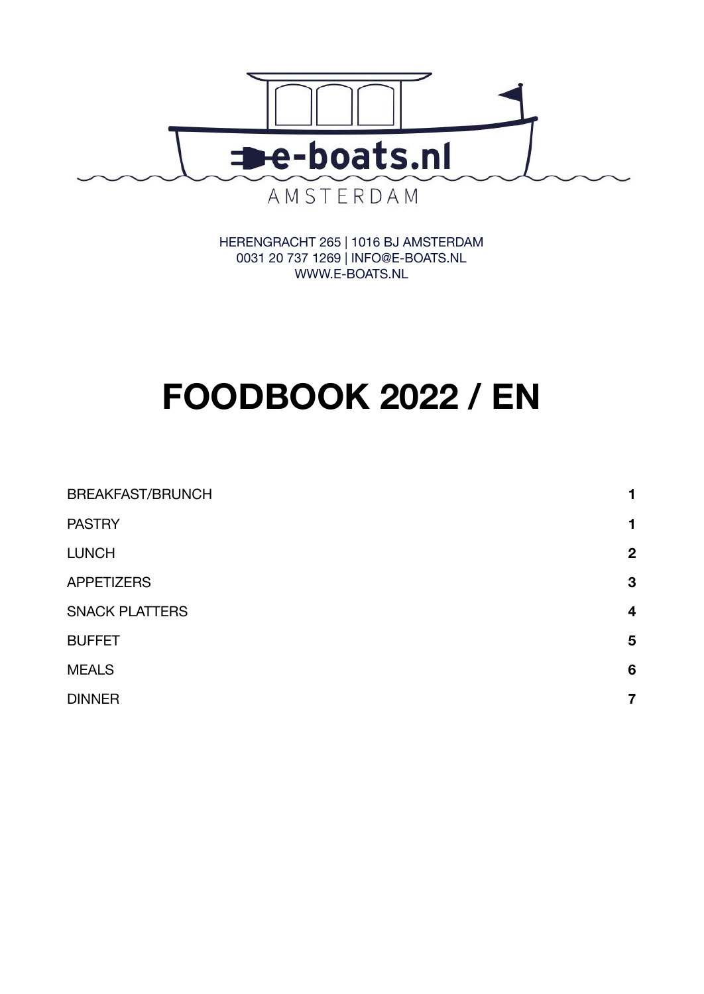

HERENGRACHT 265 | 1016 BJ AMSTERDAM 0031 20 737 1269 | INFO@E-BOATS.NL WWW.E-BOATS.NL

# **FOODBOOK 2022 / EN**

| <b>BREAKFAST/BRUNCH</b> | 1                |
|-------------------------|------------------|
| <b>PASTRY</b>           | 1                |
| <b>LUNCH</b>            | $\boldsymbol{2}$ |
| <b>APPETIZERS</b>       | 3                |
| <b>SNACK PLATTERS</b>   | $\boldsymbol{4}$ |
| <b>BUFFET</b>           | 5                |
| <b>MEALS</b>            | $6\phantom{1}6$  |
| <b>DINNER</b>           | 7                |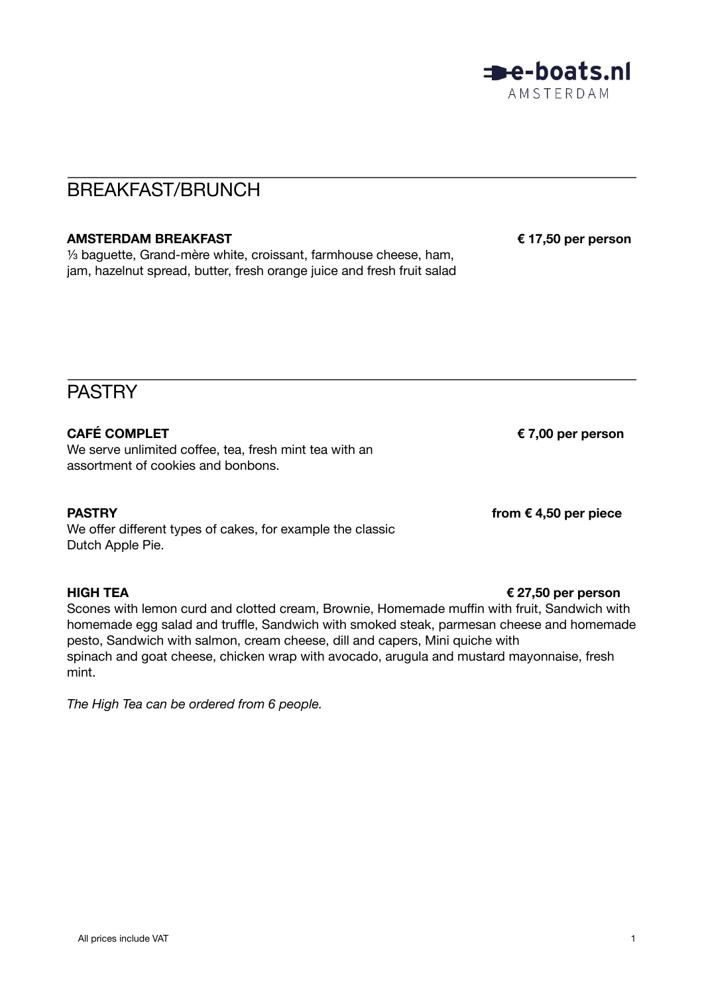

# <span id="page-1-0"></span>BREAKFAST/BRUNCH

### **AMSTERDAM BREAKFAST € 17,50 per person**

⅓ baguette, Grand-mère white, croissant, farmhouse cheese, ham, jam, hazelnut spread, butter, fresh orange juice and fresh fruit salad

# <span id="page-1-1"></span>**PASTRY**

### **CAFÉ COMPLET € 7,00 per person**

We serve unlimited coffee, tea, fresh mint tea with an assortment of cookies and bonbons.

### **PASTRY from € 4,50 per piece**

We offer different types of cakes, for example the classic Dutch Apple Pie.

### **HIGH TEA € 27,50 per person**

Scones with lemon curd and clotted cream, Brownie, Homemade muffin with fruit, Sandwich with homemade egg salad and truffle, Sandwich with smoked steak, parmesan cheese and homemade pesto, Sandwich with salmon, cream cheese, dill and capers, Mini quiche with spinach and goat cheese, chicken wrap with avocado, arugula and mustard mayonnaise, fresh mint.

*The High Tea can be ordered from 6 people.*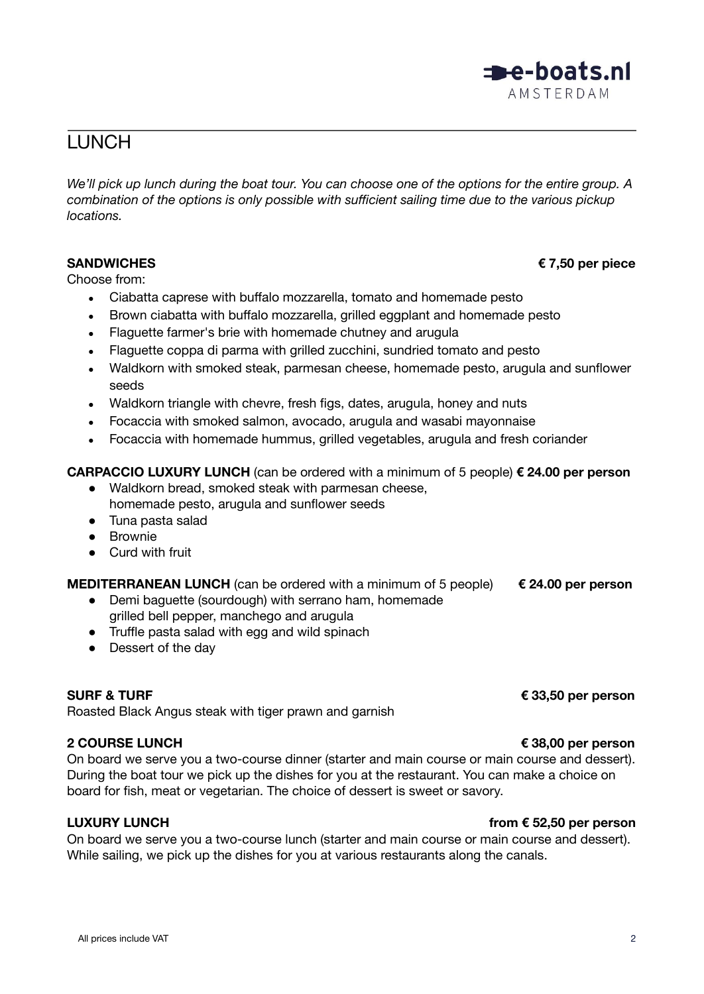# <span id="page-2-0"></span>**LUNCH**

We'll pick up lunch during the boat tour. You can choose one of the options for the entire group. A *combination of the options is only possible with sufficient sailing time due to the various pickup locations.*

Choose from:

- Ciabatta caprese with buffalo mozzarella, tomato and homemade pesto
- Brown ciabatta with buffalo mozzarella, grilled eggplant and homemade pesto
- Flaguette farmer's brie with homemade chutney and arugula
- Flaguette coppa di parma with grilled zucchini, sundried tomato and pesto
- Waldkorn with smoked steak, parmesan cheese, homemade pesto, arugula and sunflower seeds
- Waldkorn triangle with chevre, fresh figs, dates, arugula, honey and nuts
- Focaccia with smoked salmon, avocado, arugula and wasabi mayonnaise
- Focaccia with homemade hummus, grilled vegetables, arugula and fresh coriander

### **CARPACCIO LUXURY LUNCH** (can be ordered with a minimum of 5 people) **€ 24.00 per person**

- Waldkorn bread, smoked steak with parmesan cheese, homemade pesto, arugula and sunflower seeds
- Tuna pasta salad
- Brownie
- Curd with fruit

**MEDITERRANEAN LUNCH** (can be ordered with a minimum of 5 people) **€ 24.00 per person**

- Demi baguette (sourdough) with serrano ham, homemade grilled bell pepper, manchego and arugula
- Truffle pasta salad with egg and wild spinach
- Dessert of the day

### **SURF & TURF € 33,50 per person**

Roasted Black Angus steak with tiger prawn and garnish

### **2 COURSE LUNCH € 38,00 per person**

On board we serve you a two-course dinner (starter and main course or main course and dessert). During the boat tour we pick up the dishes for you at the restaurant. You can make a choice on board for fish, meat or vegetarian. The choice of dessert is sweet or savory.

### **LUXURY LUNCH from € 52,50 per person**

On board we serve you a two-course lunch (starter and main course or main course and dessert). While sailing, we pick up the dishes for you at various restaurants along the canals.

### **SANDWICHES € 7,50 per piece**

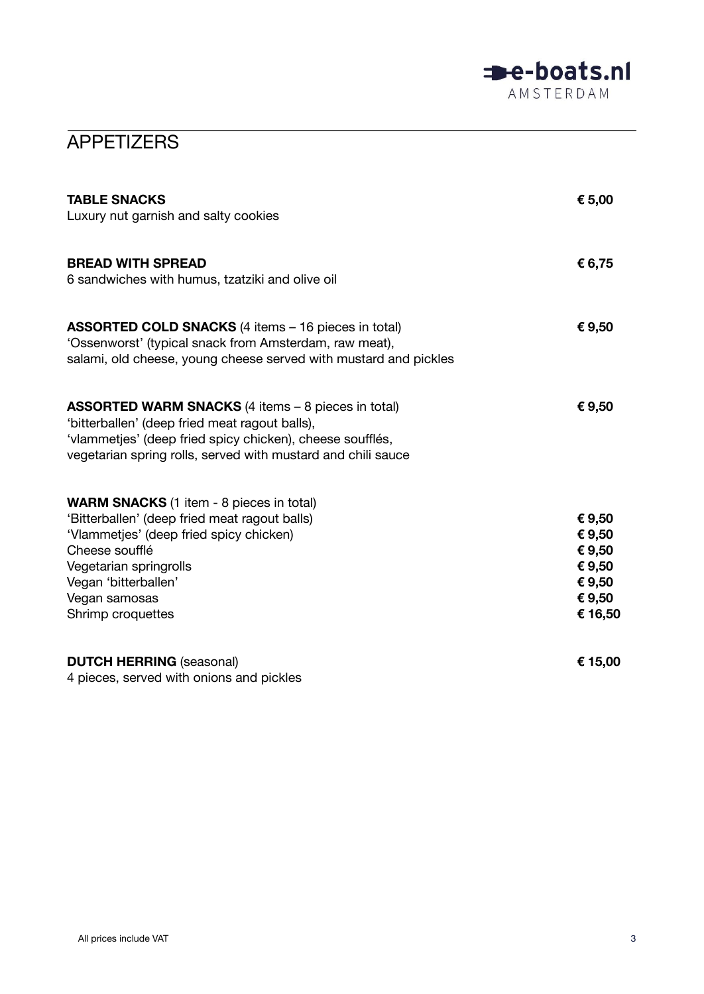

# <span id="page-3-0"></span>**APPETIZERS**

| <b>TABLE SNACKS</b><br>Luxury nut garnish and salty cookies                                                                                                                                                                                           | € 5,00                                                              |
|-------------------------------------------------------------------------------------------------------------------------------------------------------------------------------------------------------------------------------------------------------|---------------------------------------------------------------------|
| <b>BREAD WITH SPREAD</b><br>6 sandwiches with humus, tzatziki and olive oil                                                                                                                                                                           | € 6,75                                                              |
| <b>ASSORTED COLD SNACKS</b> (4 items - 16 pieces in total)<br>'Ossenworst' (typical snack from Amsterdam, raw meat),<br>salami, old cheese, young cheese served with mustard and pickles                                                              | €9,50                                                               |
| <b>ASSORTED WARM SNACKS</b> (4 items – 8 pieces in total)<br>'bitterballen' (deep fried meat ragout balls),<br>'vlammetjes' (deep fried spicy chicken), cheese soufflés,<br>vegetarian spring rolls, served with mustard and chili sauce              | €9,50                                                               |
| <b>WARM SNACKS</b> (1 item - 8 pieces in total)<br>'Bitterballen' (deep fried meat ragout balls)<br>'Vlammetjes' (deep fried spicy chicken)<br>Cheese soufflé<br>Vegetarian springrolls<br>Vegan 'bitterballen'<br>Vegan samosas<br>Shrimp croquettes | € 9,50<br>€ 9,50<br>€ 9,50<br>€ 9,50<br>€ 9,50<br>€ 9,50<br>€ 16,50 |
| <b>DUTCH HERRING (seasonal)</b><br>4 pieces, served with onions and pickles                                                                                                                                                                           | € 15,00                                                             |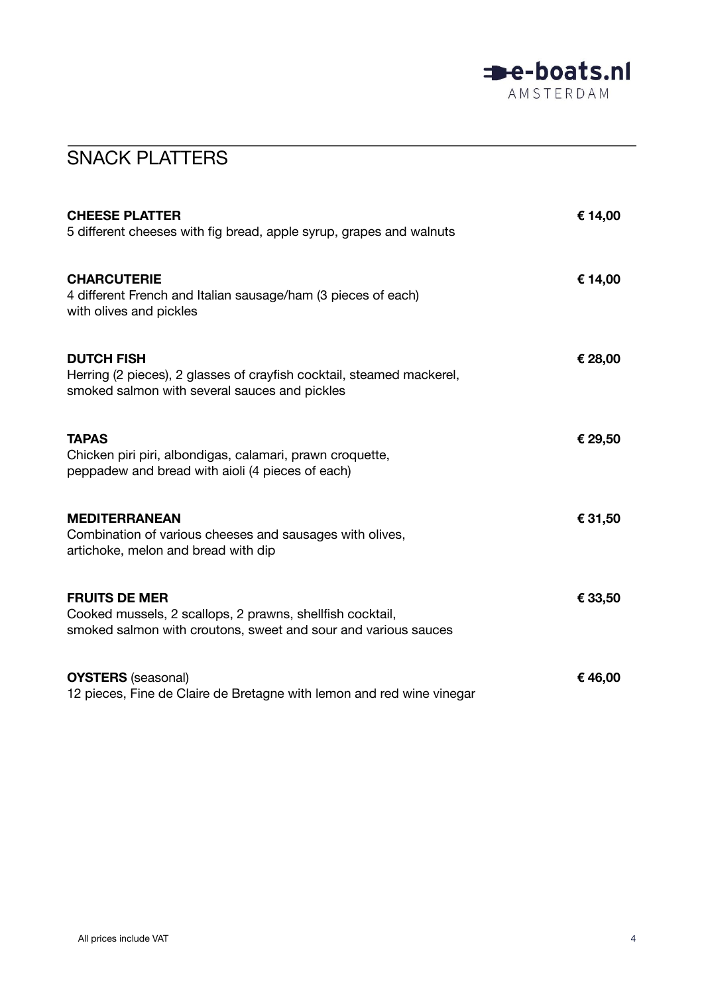

# <span id="page-4-0"></span>SNACK PLATTERS

| <b>CHEESE PLATTER</b><br>5 different cheeses with fig bread, apple syrup, grapes and walnuts                                                        | € 14,00 |
|-----------------------------------------------------------------------------------------------------------------------------------------------------|---------|
| <b>CHARCUTERIE</b><br>4 different French and Italian sausage/ham (3 pieces of each)<br>with olives and pickles                                      | € 14,00 |
| <b>DUTCH FISH</b><br>Herring (2 pieces), 2 glasses of crayfish cocktail, steamed mackerel,<br>smoked salmon with several sauces and pickles         | € 28,00 |
| <b>TAPAS</b><br>Chicken piri piri, albondigas, calamari, prawn croquette,<br>peppadew and bread with aioli (4 pieces of each)                       | € 29,50 |
| <b>MEDITERRANEAN</b><br>Combination of various cheeses and sausages with olives,<br>artichoke, melon and bread with dip                             | € 31,50 |
| <b>FRUITS DE MER</b><br>Cooked mussels, 2 scallops, 2 prawns, shellfish cocktail,<br>smoked salmon with croutons, sweet and sour and various sauces | € 33,50 |
| <b>OYSTERS</b> (seasonal)<br>12 pieces, Fine de Claire de Bretagne with lemon and red wine vinegar                                                  | €46,00  |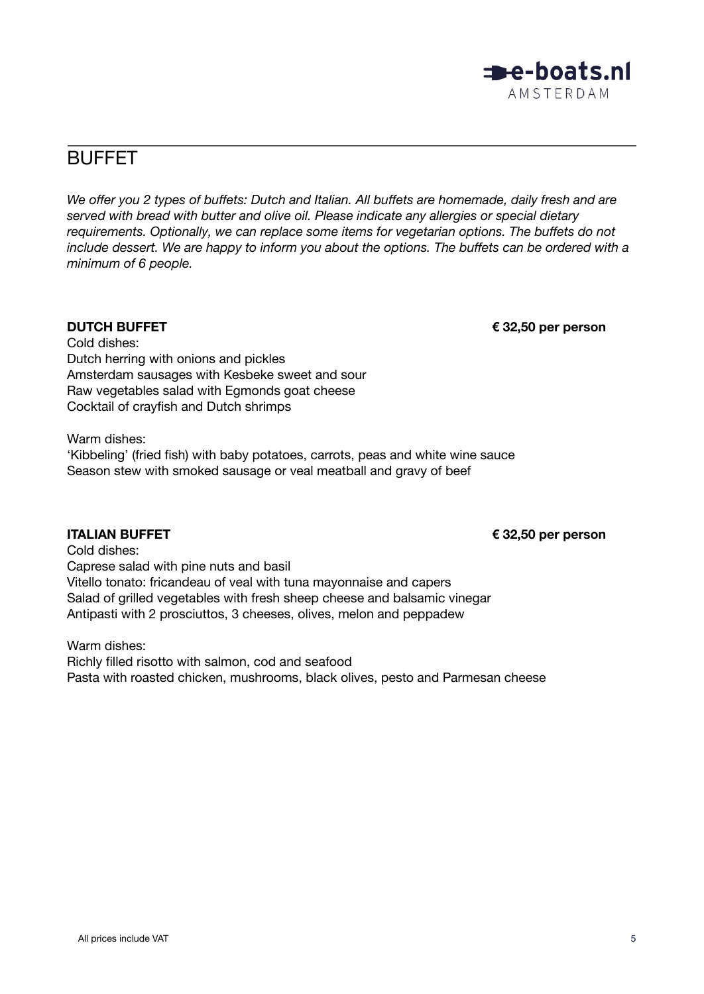

# <span id="page-5-0"></span>BUFFET

*We offer you 2 types of buffets: Dutch and Italian. All buffets are homemade, daily fresh and are served with bread with butter and olive oil. Please indicate any allergies or special dietary requirements. Optionally, we can replace some items for vegetarian options. The buffets do not include dessert. We are happy to inform you about the options. The buffets can be ordered with a minimum of 6 people.*

**DUTCH BUFFET € 32,50 per person**

Cold dishes: Dutch herring with onions and pickles Amsterdam sausages with Kesbeke sweet and sour Raw vegetables salad with Egmonds goat cheese Cocktail of crayfish and Dutch shrimps

Warm dishes: 'Kibbeling' (fried fish) with baby potatoes, carrots, peas and white wine sauce Season stew with smoked sausage or veal meatball and gravy of beef

**ITALIAN BUFFET € 32,50 per person**

Cold dishes: Caprese salad with pine nuts and basil Vitello tonato: fricandeau of veal with tuna mayonnaise and capers Salad of grilled vegetables with fresh sheep cheese and balsamic vinegar Antipasti with 2 prosciuttos, 3 cheeses, olives, melon and peppadew

Warm dishes:

Richly filled risotto with salmon, cod and seafood Pasta with roasted chicken, mushrooms, black olives, pesto and Parmesan cheese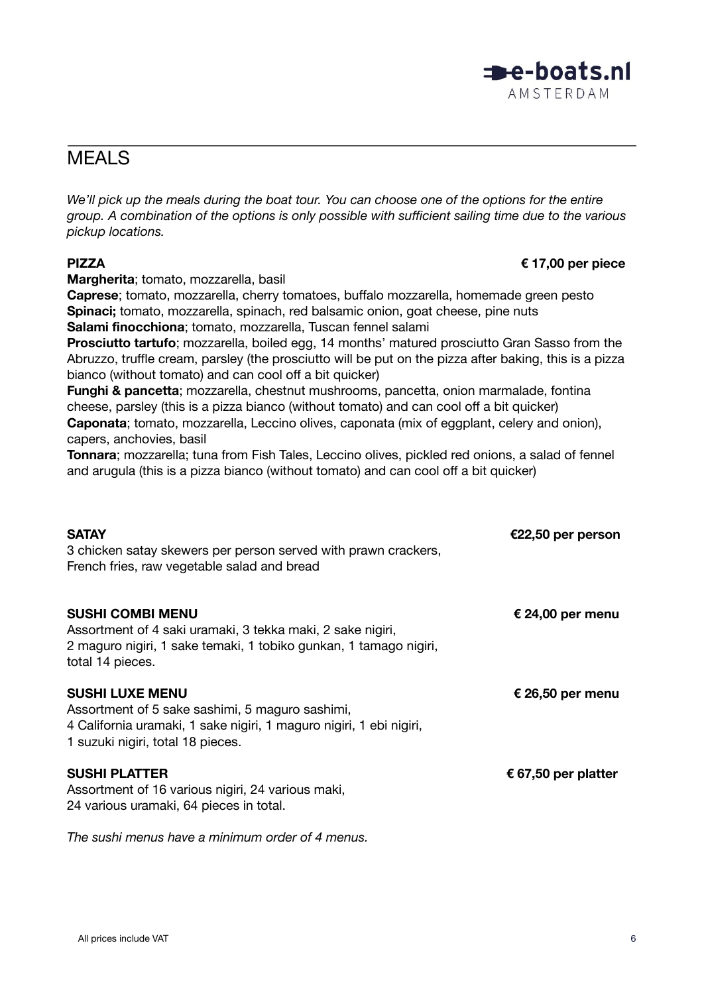## <span id="page-6-0"></span>MEALS

We'll pick up the meals during the boat tour. You can choose one of the options for the entire *group. A combination of the options is only possible with sufficient sailing time due to the various pickup locations.*

**Margherita**; tomato, mozzarella, basil

**Caprese**; tomato, mozzarella, cherry tomatoes, buffalo mozzarella, homemade green pesto **Spinaci;** tomato, mozzarella, spinach, red balsamic onion, goat cheese, pine nuts **Salami finocchiona**; tomato, mozzarella, Tuscan fennel salami

**Prosciutto tartufo**; mozzarella, boiled egg, 14 months' matured prosciutto Gran Sasso from the Abruzzo, truffle cream, parsley (the prosciutto will be put on the pizza after baking, this is a pizza bianco (without tomato) and can cool off a bit quicker)

**Funghi & pancetta**; mozzarella, chestnut mushrooms, pancetta, onion marmalade, fontina cheese, parsley (this is a pizza bianco (without tomato) and can cool off a bit quicker) **Caponata**; tomato, mozzarella, Leccino olives, caponata (mix of eggplant, celery and onion),

capers, anchovies, basil

**Tonnara**; mozzarella; tuna from Fish Tales, Leccino olives, pickled red onions, a salad of fennel and arugula (this is a pizza bianco (without tomato) and can cool off a bit quicker)

| <b>SATAY</b><br>3 chicken satay skewers per person served with prawn crackers,<br>French fries, raw vegetable salad and bread                                                         | €22,50 per person   |
|---------------------------------------------------------------------------------------------------------------------------------------------------------------------------------------|---------------------|
| <b>SUSHI COMBI MENU</b><br>Assortment of 4 saki uramaki, 3 tekka maki, 2 sake nigiri,<br>2 maguro nigiri, 1 sake temaki, 1 tobiko gunkan, 1 tamago nigiri,<br>total 14 pieces.        | € 24,00 per menu    |
| <b>SUSHI LUXE MENU</b><br>Assortment of 5 sake sashimi, 5 maguro sashimi,<br>4 California uramaki, 1 sake nigiri, 1 maguro nigiri, 1 ebi nigiri,<br>1 suzuki nigiri, total 18 pieces. | € 26,50 per menu    |
| <b>SUSHI PLATTER</b><br>Assortment of 16 various nigiri, 24 various maki,<br>24 various uramaki, 64 pieces in total.                                                                  | € 67,50 per platter |
| The sushi menus have a minimum order of 4 menus.                                                                                                                                      |                     |



### **PIZZA € 17,00 per piece**